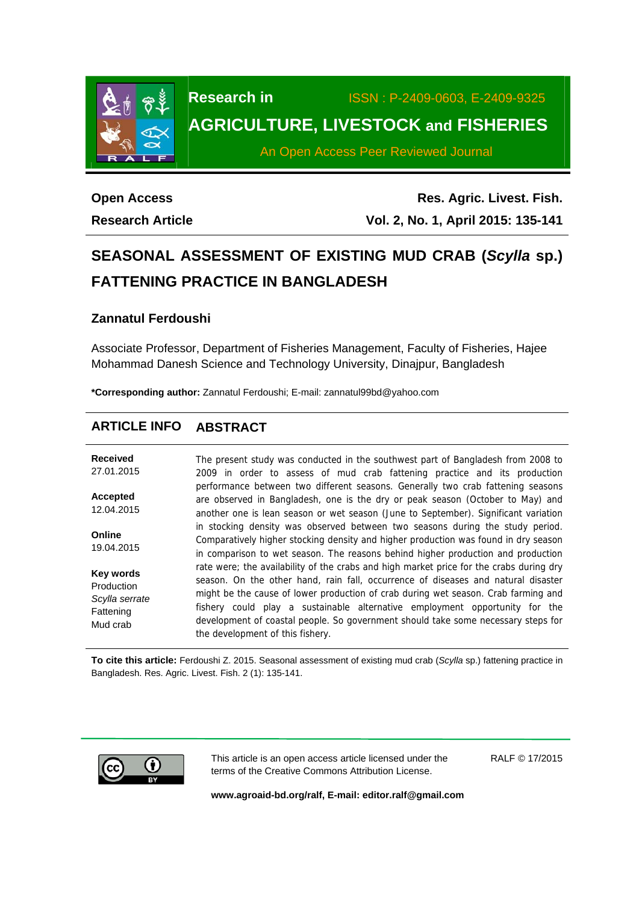

# **Research in** ISSN : P-2409-0603, E-2409-9325 **AGRICULTURE, LIVESTOCK and FISHERIES**

An Open Access Peer Reviewed Journal

# **Open Access Research Article**

**Res. Agric. Livest. Fish. Vol. 2, No. 1, April 2015: 135-141**

# **SEASONAL ASSESSMENT OF EXISTING MUD CRAB (***Scylla* **sp.) FATTENING PRACTICE IN BANGLADESH**

# **Zannatul Ferdoushi**

Associate Professor, Department of Fisheries Management, Faculty of Fisheries, Hajee Mohammad Danesh Science and Technology University, Dinajpur, Bangladesh

**\*Corresponding author:** Zannatul Ferdoushi; E-mail: zannatul99bd@yahoo.com

# **ARTICLE INFO ABSTRACT**

| <b>Received</b>                                                           | The present study was conducted in the southwest part of Bangladesh from 2008 to                                                                                                                                                                                                                                                                                                                                                                                           |
|---------------------------------------------------------------------------|----------------------------------------------------------------------------------------------------------------------------------------------------------------------------------------------------------------------------------------------------------------------------------------------------------------------------------------------------------------------------------------------------------------------------------------------------------------------------|
| 27.01.2015                                                                | 2009 in order to assess of mud crab fattening practice and its production                                                                                                                                                                                                                                                                                                                                                                                                  |
| <b>Accepted</b><br>12.04.2015                                             | performance between two different seasons. Generally two crab fattening seasons<br>are observed in Bangladesh, one is the dry or peak season (October to May) and<br>another one is lean season or wet season (June to September). Significant variation                                                                                                                                                                                                                   |
| Online<br>19.04.2015                                                      | in stocking density was observed between two seasons during the study period.<br>Comparatively higher stocking density and higher production was found in dry season<br>in comparison to wet season. The reasons behind higher production and production                                                                                                                                                                                                                   |
| <b>Key words</b><br>Production<br>Scylla serrate<br>Fattening<br>Mud crab | rate were; the availability of the crabs and high market price for the crabs during dry<br>season. On the other hand, rain fall, occurrence of diseases and natural disaster<br>might be the cause of lower production of crab during wet season. Crab farming and<br>fishery could play a sustainable alternative employment opportunity for the<br>development of coastal people. So government should take some necessary steps for<br>the development of this fishery. |

**To cite this article:** Ferdoushi Z. 2015. Seasonal assessment of existing mud crab (*Scylla* sp.) fattening practice in Bangladesh. Res. Agric. Livest. Fish. 2 (1): 135-141.



This article is an open access article licensed under the terms of the Creative Commons Attribution License.

RALF © 17/2015

**www.agroaid-bd.org/ralf, E-mail: editor.ralf@gmail.com**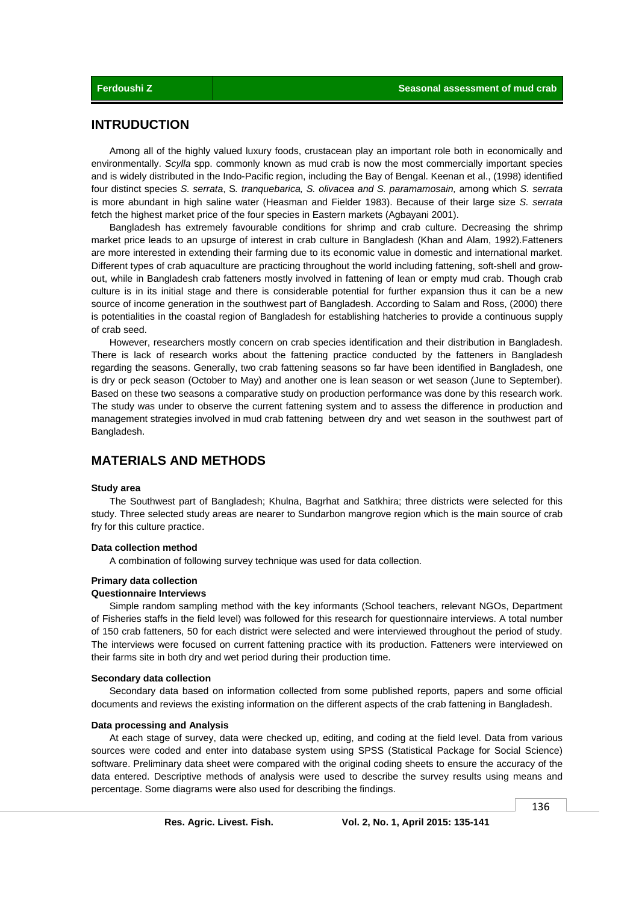# **INTRUDUCTION**

 Among all of the highly valued luxury foods, crustacean play an important role both in economically and environmentally. *Scylla* spp. commonly known as mud crab is now the most commercially important species and is widely distributed in the Indo-Pacific region, including the Bay of Bengal. Keenan et al., (1998) identified four distinct species *S. serrata*, S*. tranquebarica, S. olivacea and S. paramamosain,* among which *S. serrata* is more abundant in high saline water (Heasman and Fielder 1983). Because of their large size *S. serrata* fetch the highest market price of the four species in Eastern markets (Agbayani 2001).

 Bangladesh has extremely favourable conditions for shrimp and crab culture. Decreasing the shrimp market price leads to an upsurge of interest in crab culture in Bangladesh (Khan and Alam, 1992).Fatteners are more interested in extending their farming due to its economic value in domestic and international market. Different types of crab aquaculture are practicing throughout the world including fattening, soft-shell and growout, while in Bangladesh crab fatteners mostly involved in fattening of lean or empty mud crab. Though crab culture is in its initial stage and there is considerable potential for further expansion thus it can be a new source of income generation in the southwest part of Bangladesh. According to Salam and Ross, (2000) there is potentialities in the coastal region of Bangladesh for establishing hatcheries to provide a continuous supply of crab seed.

 However, researchers mostly concern on crab species identification and their distribution in Bangladesh. There is lack of research works about the fattening practice conducted by the fatteners in Bangladesh regarding the seasons. Generally, two crab fattening seasons so far have been identified in Bangladesh, one is dry or peck season (October to May) and another one is lean season or wet season (June to September). Based on these two seasons a comparative study on production performance was done by this research work. The study was under to observe the current fattening system and to assess the difference in production and management strategies involved in mud crab fattening between dry and wet season in the southwest part of Bangladesh.

# **MATERIALS AND METHODS**

#### **Study area**

 The Southwest part of Bangladesh; Khulna, Bagrhat and Satkhira; three districts were selected for this study. Three selected study areas are nearer to Sundarbon mangrove region which is the main source of crab fry for this culture practice.

#### **Data collection method**

A combination of following survey technique was used for data collection.

## **Primary data collection**

## **Questionnaire Interviews**

 Simple random sampling method with the key informants (School teachers, relevant NGOs, Department of Fisheries staffs in the field level) was followed for this research for questionnaire interviews. A total number of 150 crab fatteners, 50 for each district were selected and were interviewed throughout the period of study. The interviews were focused on current fattening practice with its production. Fatteners were interviewed on their farms site in both dry and wet period during their production time.

#### **Secondary data collection**

 Secondary data based on information collected from some published reports, papers and some official documents and reviews the existing information on the different aspects of the crab fattening in Bangladesh.

#### **Data processing and Analysis**

 At each stage of survey, data were checked up, editing, and coding at the field level. Data from various sources were coded and enter into database system using SPSS (Statistical Package for Social Science) software. Preliminary data sheet were compared with the original coding sheets to ensure the accuracy of the data entered. Descriptive methods of analysis were used to describe the survey results using means and percentage. Some diagrams were also used for describing the findings.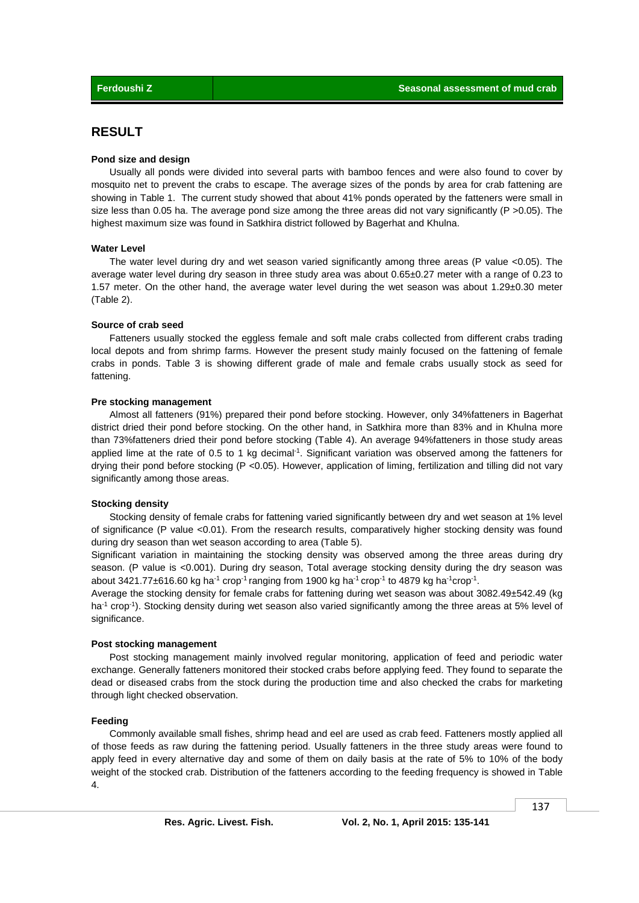# **RESULT**

## **Pond size and design**

 Usually all ponds were divided into several parts with bamboo fences and were also found to cover by mosquito net to prevent the crabs to escape. The average sizes of the ponds by area for crab fattening are showing in Table 1. The current study showed that about 41% ponds operated by the fatteners were small in size less than 0.05 ha. The average pond size among the three areas did not vary significantly ( $P > 0.05$ ). The highest maximum size was found in Satkhira district followed by Bagerhat and Khulna.

## **Water Level**

The water level during dry and wet season varied significantly among three areas (P value <0.05). The average water level during dry season in three study area was about 0.65±0.27 meter with a range of 0.23 to 1.57 meter. On the other hand, the average water level during the wet season was about 1.29±0.30 meter (Table 2).

#### **Source of crab seed**

Fatteners usually stocked the eggless female and soft male crabs collected from different crabs trading local depots and from shrimp farms. However the present study mainly focused on the fattening of female crabs in ponds. Table 3 is showing different grade of male and female crabs usually stock as seed for fattening.

#### **Pre stocking management**

 Almost all fatteners (91%) prepared their pond before stocking. However, only 34%fatteners in Bagerhat district dried their pond before stocking. On the other hand, in Satkhira more than 83% and in Khulna more than 73%fatteners dried their pond before stocking (Table 4). An average 94%fatteners in those study areas applied lime at the rate of 0.5 to 1 kg decimal<sup>-1</sup>. Significant variation was observed among the fatteners for drying their pond before stocking (P <0.05). However, application of liming, fertilization and tilling did not vary significantly among those areas.

#### **Stocking density**

 Stocking density of female crabs for fattening varied significantly between dry and wet season at 1% level of significance (P value <0.01). From the research results, comparatively higher stocking density was found during dry season than wet season according to area (Table 5).

Significant variation in maintaining the stocking density was observed among the three areas during dry season. (P value is <0.001). During dry season, Total average stocking density during the dry season was about 3421.77 $\pm$ 616.60 kg ha<sup>-1</sup> crop<sup>-1</sup> ranging from 1900 kg ha<sup>-1</sup> crop<sup>-1</sup> to 4879 kg ha<sup>-1</sup>crop<sup>-1</sup>.

Average the stocking density for female crabs for fattening during wet season was about 3082.49±542.49 (kg ha<sup>-1</sup> crop<sup>-1</sup>). Stocking density during wet season also varied significantly among the three areas at 5% level of significance.

#### **Post stocking management**

 Post stocking management mainly involved regular monitoring, application of feed and periodic water exchange. Generally fatteners monitored their stocked crabs before applying feed. They found to separate the dead or diseased crabs from the stock during the production time and also checked the crabs for marketing through light checked observation.

#### **Feeding**

 Commonly available small fishes, shrimp head and eel are used as crab feed. Fatteners mostly applied all of those feeds as raw during the fattening period. Usually fatteners in the three study areas were found to apply feed in every alternative day and some of them on daily basis at the rate of 5% to 10% of the body weight of the stocked crab. Distribution of the fatteners according to the feeding frequency is showed in Table 4.

137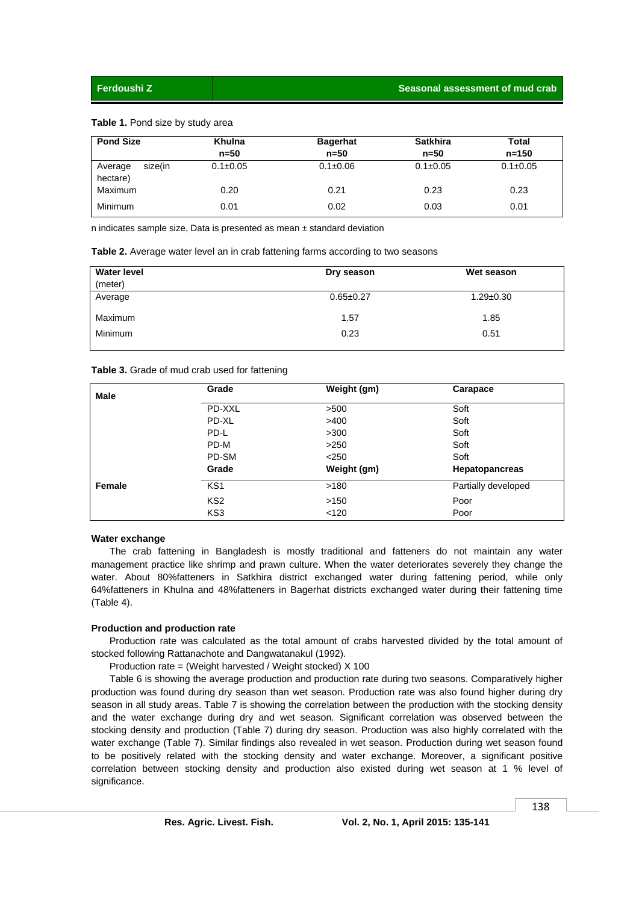#### **Table 1.** Pond size by study area

| <b>Pond Size</b>               | Khulna<br>$n = 50$ | <b>Bagerhat</b><br>$n=50$ | <b>Satkhira</b><br>$n = 50$ | Total<br>$n = 150$ |
|--------------------------------|--------------------|---------------------------|-----------------------------|--------------------|
| size(in<br>Average<br>hectare) | $0.1 \pm 0.05$     | $0.1 \pm 0.06$            | $0.1 \pm 0.05$              | $0.1 \pm 0.05$     |
| Maximum                        | 0.20               | 0.21                      | 0.23                        | 0.23               |
| Minimum                        | 0.01               | 0.02                      | 0.03                        | 0.01               |

n indicates sample size, Data is presented as mean ± standard deviation

|  | Table 2. Average water level an in crab fattening farms according to two seasons |  |  |  |  |  |
|--|----------------------------------------------------------------------------------|--|--|--|--|--|
|--|----------------------------------------------------------------------------------|--|--|--|--|--|

| <b>Water level</b><br>(meter) | Dry season      | Wet season      |
|-------------------------------|-----------------|-----------------|
| Average                       | $0.65 \pm 0.27$ | $1.29 \pm 0.30$ |
| Maximum                       | 1.57            | 1.85            |
| <b>Minimum</b>                | 0.23            | 0.51            |

#### **Table 3.** Grade of mud crab used for fattening

| <b>Male</b> | Grade           | Weight (gm) | Carapace              |
|-------------|-----------------|-------------|-----------------------|
|             | PD-XXL          | >500        | Soft                  |
|             | PD-XL           | >400        | Soft                  |
|             | PD-L            | >300        | Soft                  |
|             | PD-M            | >250        | Soft                  |
|             | PD-SM           | < 250       | Soft                  |
|             | Grade           | Weight (gm) | <b>Hepatopancreas</b> |
| Female      | KS <sub>1</sub> | >180        | Partially developed   |
|             | KS <sub>2</sub> | >150        | Poor                  |
|             | KS3             | $<$ 120     | Poor                  |

#### **Water exchange**

 The crab fattening in Bangladesh is mostly traditional and fatteners do not maintain any water management practice like shrimp and prawn culture. When the water deteriorates severely they change the water. About 80%fatteners in Satkhira district exchanged water during fattening period, while only 64%fatteners in Khulna and 48%fatteners in Bagerhat districts exchanged water during their fattening time (Table 4).

#### **Production and production rate**

 Production rate was calculated as the total amount of crabs harvested divided by the total amount of stocked following Rattanachote and Dangwatanakul (1992).

Production rate = (Weight harvested / Weight stocked) X 100

 Table 6 is showing the average production and production rate during two seasons. Comparatively higher production was found during dry season than wet season. Production rate was also found higher during dry season in all study areas. Table 7 is showing the correlation between the production with the stocking density and the water exchange during dry and wet season. Significant correlation was observed between the stocking density and production (Table 7) during dry season. Production was also highly correlated with the water exchange (Table 7). Similar findings also revealed in wet season. Production during wet season found to be positively related with the stocking density and water exchange. Moreover, a significant positive correlation between stocking density and production also existed during wet season at 1 % level of significance.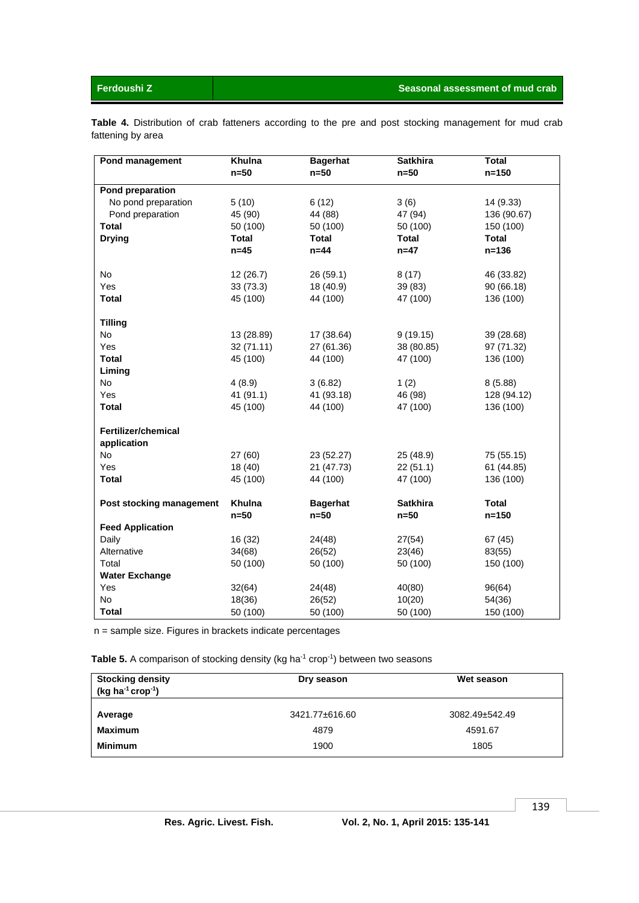**Table 4.** Distribution of crab fatteners according to the pre and post stocking management for mud crab fattening by area

| Pond management            | Khulna       | <b>Bagerhat</b> | <b>Satkhira</b> | <b>Total</b> |
|----------------------------|--------------|-----------------|-----------------|--------------|
|                            | $n=50$       | $n=50$          | $n=50$          | $n = 150$    |
| <b>Pond preparation</b>    |              |                 |                 |              |
| No pond preparation        | 5(10)        | 6(12)           | 3(6)            | 14 (9.33)    |
| Pond preparation           | 45 (90)      | 44 (88)         | 47 (94)         | 136 (90.67)  |
| <b>Total</b>               | 50 (100)     | 50 (100)        | 50 (100)        | 150 (100)    |
| <b>Drying</b>              | <b>Total</b> | <b>Total</b>    | <b>Total</b>    | Total        |
|                            | $n=45$       | $n=44$          | $n=47$          | $n = 136$    |
|                            |              |                 |                 |              |
| No                         | 12(26.7)     | 26 (59.1)       | 8(17)           | 46 (33.82)   |
| Yes                        | 33(73.3)     | 18 (40.9)       | 39 (83)         | 90 (66.18)   |
| <b>Total</b>               | 45 (100)     | 44 (100)        | 47 (100)        | 136 (100)    |
| <b>Tilling</b>             |              |                 |                 |              |
| <b>No</b>                  | 13 (28.89)   | 17 (38.64)      | 9(19.15)        | 39 (28.68)   |
| Yes                        | 32 (71.11)   | 27 (61.36)      | 38 (80.85)      | 97 (71.32)   |
| <b>Total</b>               | 45 (100)     | 44 (100)        | 47 (100)        | 136 (100)    |
| Liming                     |              |                 |                 |              |
| <b>No</b>                  | 4(8.9)       | 3(6.82)         | 1(2)            | 8(5.88)      |
| Yes                        | 41 (91.1)    | 41 (93.18)      | 46 (98)         | 128 (94.12)  |
| Total                      | 45 (100)     | 44 (100)        | 47 (100)        | 136 (100)    |
|                            |              |                 |                 |              |
| <b>Fertilizer/chemical</b> |              |                 |                 |              |
| application                |              |                 |                 |              |
| No                         | 27 (60)      | 23 (52.27)      | 25 (48.9)       | 75 (55.15)   |
| Yes                        | 18 (40)      | 21 (47.73)      | 22(51.1)        | 61 (44.85)   |
| <b>Total</b>               | 45 (100)     | 44 (100)        | 47 (100)        | 136 (100)    |
| Post stocking management   | Khulna       | <b>Bagerhat</b> | <b>Satkhira</b> | <b>Total</b> |
|                            | $n=50$       | $n=50$          | $n=50$          | $n = 150$    |
| <b>Feed Application</b>    |              |                 |                 |              |
| Daily                      | 16 (32)      | 24(48)          | 27(54)          | 67(45)       |
| Alternative                | 34(68)       | 26(52)          | 23(46)          | 83(55)       |
| Total                      | 50 (100)     | 50 (100)        | 50 (100)        | 150 (100)    |
| <b>Water Exchange</b>      |              |                 |                 |              |
| Yes                        | 32(64)       | 24(48)          | 40(80)          | 96(64)       |
| No                         | 18(36)       | 26(52)          | 10(20)          | 54(36)       |
| <b>Total</b>               | 50 (100)     | 50 (100)        | 50 (100)        | 150 (100)    |

n = sample size. Figures in brackets indicate percentages

Table 5. A comparison of stocking density (kg ha<sup>-1</sup> crop<sup>-1</sup>) between two seasons

| <b>Stocking density</b><br>(kg ha $^{-1}$ crop $^{-1}$ ) | Dry season     | Wet season     |
|----------------------------------------------------------|----------------|----------------|
| Average                                                  | 3421.77±616.60 | 3082.49±542.49 |
| <b>Maximum</b>                                           | 4879           | 4591.67        |
| <b>Minimum</b>                                           | 1900           | 1805           |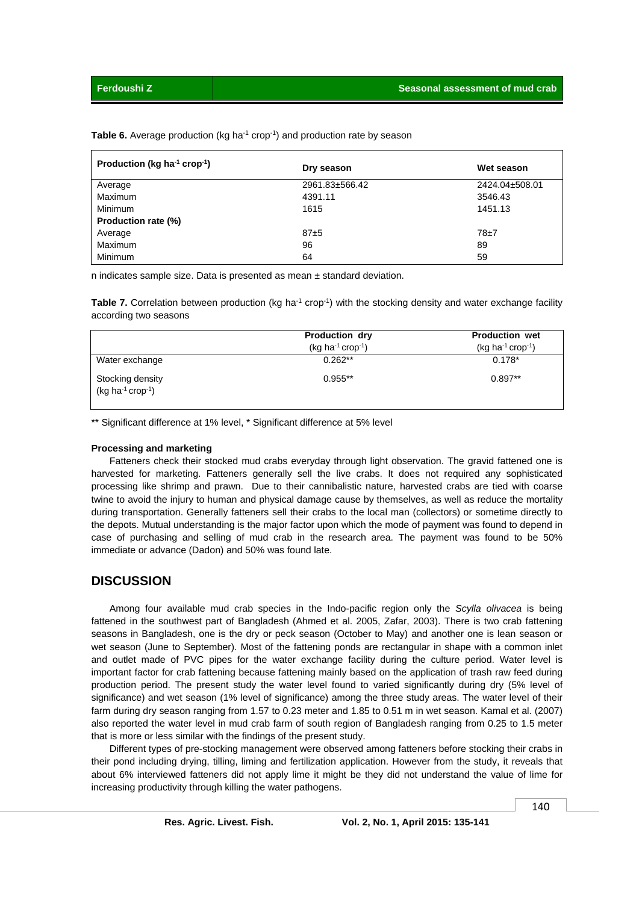| Table 6. Average production (kg ha <sup>-1</sup> crop <sup>-1</sup> ) and production rate by season |  |  |  |  |
|-----------------------------------------------------------------------------------------------------|--|--|--|--|
|-----------------------------------------------------------------------------------------------------|--|--|--|--|

| Production (kg ha <sup>-1</sup> crop <sup>-1</sup> ) | Dry season     | Wet season     |
|------------------------------------------------------|----------------|----------------|
| Average                                              | 2961.83±566.42 | 2424.04±508.01 |
| Maximum                                              | 4391.11        | 3546.43        |
| Minimum                                              | 1615           | 1451.13        |
| Production rate (%)                                  |                |                |
| Average                                              | $87 + 5$       | $78 + 7$       |
| Maximum                                              | 96             | 89             |
| Minimum                                              | 64             | 59             |

n indicates sample size. Data is presented as mean ± standard deviation.

**Table 7.** Correlation between production (kg ha<sup>-1</sup> crop<sup>-1</sup>) with the stocking density and water exchange facility according two seasons

|                                              | <b>Production dry</b><br>$(kg ha-1 crop-1)$ | <b>Production wet</b><br>$(kg ha^{-1} crop^{-1})$ |
|----------------------------------------------|---------------------------------------------|---------------------------------------------------|
| Water exchange                               | $0.262**$                                   | $0.178*$                                          |
| Stocking density<br>$(kg ha^{-1} crop^{-1})$ | $0.955**$                                   | $0.897**$                                         |

\*\* Significant difference at 1% level, \* Significant difference at 5% level

#### **Processing and marketing**

 Fatteners check their stocked mud crabs everyday through light observation. The gravid fattened one is harvested for marketing. Fatteners generally sell the live crabs. It does not required any sophisticated processing like shrimp and prawn. Due to their cannibalistic nature, harvested crabs are tied with coarse twine to avoid the injury to human and physical damage cause by themselves, as well as reduce the mortality during transportation. Generally fatteners sell their crabs to the local man (collectors) or sometime directly to the depots. Mutual understanding is the major factor upon which the mode of payment was found to depend in case of purchasing and selling of mud crab in the research area. The payment was found to be 50% immediate or advance (Dadon) and 50% was found late.

# **DISCUSSION**

 Among four available mud crab species in the Indo-pacific region only the *Scylla olivacea* is being fattened in the southwest part of Bangladesh (Ahmed et al. 2005, Zafar, 2003). There is two crab fattening seasons in Bangladesh, one is the dry or peck season (October to May) and another one is lean season or wet season (June to September). Most of the fattening ponds are rectangular in shape with a common inlet and outlet made of PVC pipes for the water exchange facility during the culture period. Water level is important factor for crab fattening because fattening mainly based on the application of trash raw feed during production period. The present study the water level found to varied significantly during dry (5% level of significance) and wet season (1% level of significance) among the three study areas. The water level of their farm during dry season ranging from 1.57 to 0.23 meter and 1.85 to 0.51 m in wet season. Kamal et al. (2007) also reported the water level in mud crab farm of south region of Bangladesh ranging from 0.25 to 1.5 meter that is more or less similar with the findings of the present study.

 Different types of pre-stocking management were observed among fatteners before stocking their crabs in their pond including drying, tilling, liming and fertilization application. However from the study, it reveals that about 6% interviewed fatteners did not apply lime it might be they did not understand the value of lime for increasing productivity through killing the water pathogens.